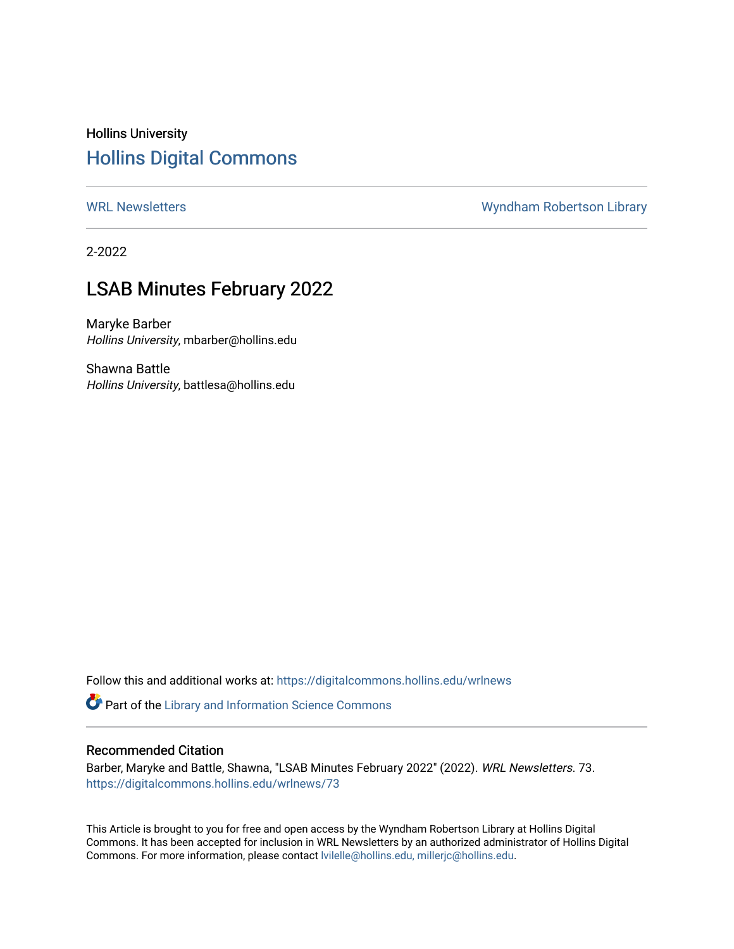# Hollins University [Hollins Digital Commons](https://digitalcommons.hollins.edu/)

[WRL Newsletters](https://digitalcommons.hollins.edu/wrlnews) **WRL Newsletters** WRL Newsletters **W**yndham Robertson Library

2-2022

# LSAB Minutes February 2022

Maryke Barber Hollins University, mbarber@hollins.edu

Shawna Battle Hollins University, battlesa@hollins.edu

Follow this and additional works at: [https://digitalcommons.hollins.edu/wrlnews](https://digitalcommons.hollins.edu/wrlnews?utm_source=digitalcommons.hollins.edu%2Fwrlnews%2F73&utm_medium=PDF&utm_campaign=PDFCoverPages) 

Part of the [Library and Information Science Commons](http://network.bepress.com/hgg/discipline/1018?utm_source=digitalcommons.hollins.edu%2Fwrlnews%2F73&utm_medium=PDF&utm_campaign=PDFCoverPages) 

#### Recommended Citation

Barber, Maryke and Battle, Shawna, "LSAB Minutes February 2022" (2022). WRL Newsletters. 73. [https://digitalcommons.hollins.edu/wrlnews/73](https://digitalcommons.hollins.edu/wrlnews/73?utm_source=digitalcommons.hollins.edu%2Fwrlnews%2F73&utm_medium=PDF&utm_campaign=PDFCoverPages) 

This Article is brought to you for free and open access by the Wyndham Robertson Library at Hollins Digital Commons. It has been accepted for inclusion in WRL Newsletters by an authorized administrator of Hollins Digital Commons. For more information, please contact [lvilelle@hollins.edu, millerjc@hollins.edu.](mailto:lvilelle@hollins.edu,%20millerjc@hollins.edu)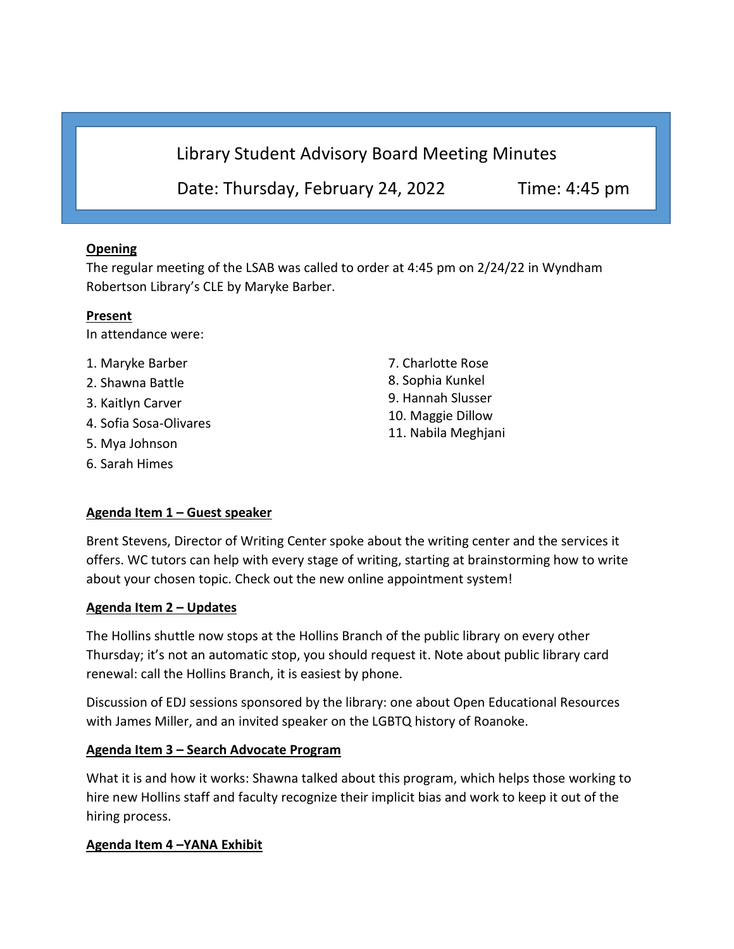Library Student Advisory Board Meeting Minutes

Date: Thursday, February 24, 2022 Time: 4:45 pm

## **Opening**

The regular meeting of the LSAB was called to order at 4:45 pm on 2/24/22 in Wyndham Robertson Library's CLE by Maryke Barber.

#### **Present**

In attendance were:

- 1. Maryke Barber
- 2. Shawna Battle
- 3. Kaitlyn Carver
- 4. Sofia Sosa-Olivares
- 5. Mya Johnson
- 6. Sarah Himes

**Agenda Item 1 – Guest speaker**

7. Charlotte Rose 8. Sophia Kunkel 9. Hannah Slusser 10. Maggie Dillow 11. Nabila Meghjani

Brent Stevens, Director of Writing Center spoke about the writing center and the services it offers. WC tutors can help with every stage of writing, starting at brainstorming how to write about your chosen topic. Check out the new online appointment system!

#### **Agenda Item 2 – Updates**

The Hollins shuttle now stops at the Hollins Branch of the public library on every other Thursday; it's not an automatic stop, you should request it. Note about public library card renewal: call the Hollins Branch, it is easiest by phone.

Discussion of EDJ sessions sponsored by the library: one about Open Educational Resources with James Miller, and an invited speaker on the LGBTQ history of Roanoke.

## **Agenda Item 3 – Search Advocate Program**

What it is and how it works: Shawna talked about this program, which helps those working to hire new Hollins staff and faculty recognize their implicit bias and work to keep it out of the hiring process.

#### **Agenda Item 4 –YANA Exhibit**